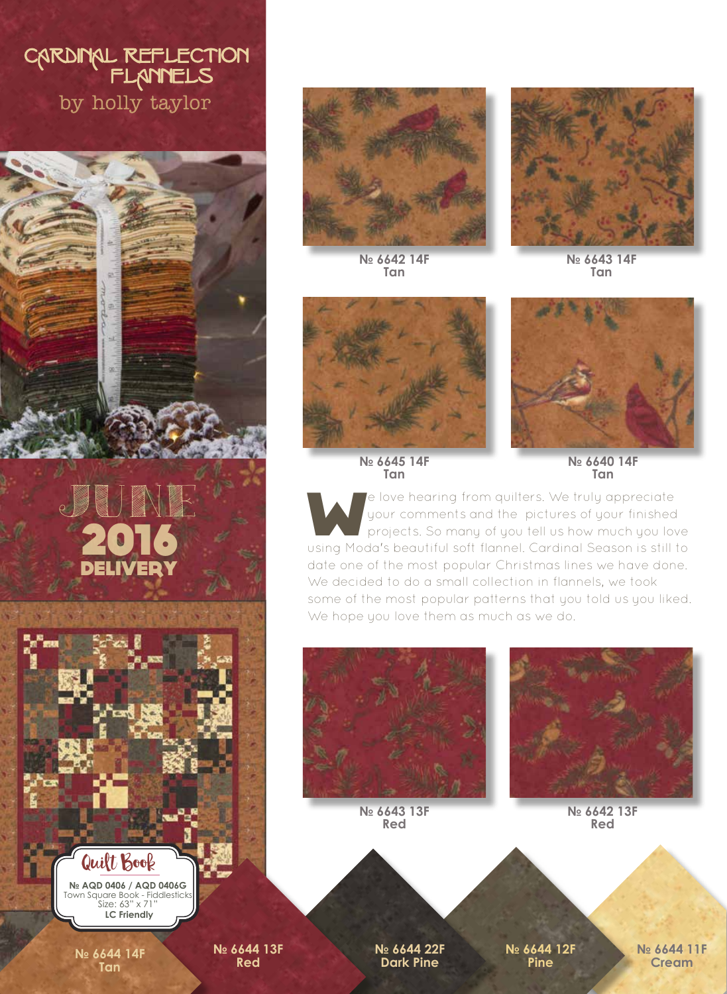## CARDINAL REFLECTION<br>FLANNELS<br>by holly taylor





**№ 6642 14F Tan**



**№ 6643 14F Tan**



**№ 6645 14F Tan**



**№ 6640 14F Tan**

e love hearing from quilters. We truly appreciate<br>your comments and the pictures of your finished<br>projects. So many of you tell us how much you love your comments and the pictures of your finished projects. So many of you tell us how much you love using Moda's beautiful soft flannel. Cardinal Season is still to date one of the most popular Christmas lines we have done. We decided to do a small collection in flannels, we took some of the most popular patterns that you told us you liked. We hope you love them as much as we do.



**№ 6643 13F Red**



**№ 6642 13F Red**

Quilt Book

**№ AQD 0406 / AQD 0406G**  Town Square Book - Fiddlesticks Size: 63" x 71"  **LC Friendly**

**№ 6644 14F Tan**

**№ 6644 13F Red**

**№ 6644 22F Dark Pine**

**№ 6644 12F Pine**

**№ 6644 11F Cream**